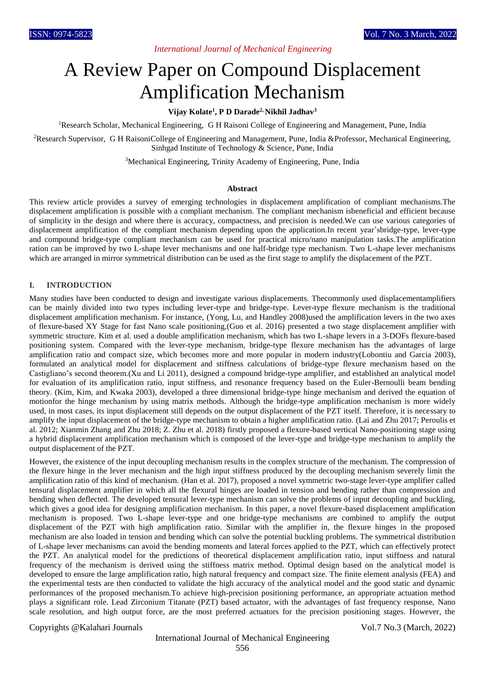## *International Journal of Mechanical Engineering*

# A Review Paper on Compound Displacement Amplification Mechanism

## **Vijay Kolate<sup>1</sup> , P D Darade2, Nikhil Jadhav<sup>3</sup>**

<sup>1</sup>Research Scholar, Mechanical Engineering, G H Raisoni College of Engineering and Management, Pune, India

<sup>2</sup>Research Supervisor, G H RaisoniCollege of Engineering and Management, Pune, India &Professor, Mechanical Engineering, Sinhgad Institute of Technology & Science, Pune, India

<sup>3</sup>Mechanical Engineering, Trinity Academy of Engineering, Pune, India

#### **Abstract**

This review article provides a survey of emerging technologies in displacement amplification of compliant mechanisms.The displacement amplification is possible with a compliant mechanism. The compliant mechanism isbeneficial and efficient because of simplicity in the design and where there is accuracy, compactness, and precision is needed.We can use various categories of displacement amplification of the compliant mechanism depending upon the application.In recent year'sbridge-type, lever-type and compound bridge-type compliant mechanism can be used for practical micro/nano manipulation tasks.The amplification ration can be improved by two L-shape lever mechanisms and one half-bridge type mechanism. Two L-shape lever mechanisms which are arranged in mirror symmetrical distribution can be used as the first stage to amplify the displacement of the PZT.

#### **I. INTRODUCTION**

Many studies have been conducted to design and investigate various displacements. Thecommonly used displacementamplifiers can be mainly divided into two types including lever-type and bridge-type. Lever-type flexure mechanism is the traditional displacement amplification mechanism. For instance, (Yong, Lu, and Handley 2008)used the amplification levers in the two axes of flexure-based XY Stage for fast Nano scale positioning,(Guo et al. 2016) presented a two stage displacement amplifier with symmetric structure. Kim et al. used a double amplification mechanism, which has two L-shape levers in a 3-DOFs flexure-based positioning system. Compared with the lever-type mechanism, bridge-type flexure mechanism has the advantages of large amplification ratio and compact size, which becomes more and more popular in modern industry(Lobontiu and Garcia 2003), formulated an analytical model for displacement and stiffness calculations of bridge-type flexure mechanism based on the Castigliano's second theorem.(Xu and Li 2011), designed a compound bridge-type amplifier, and established an analytical model for evaluation of its amplification ratio, input stiffness, and resonance frequency based on the Euler-Bernoulli beam bending theory. (Kim, Kim, and Kwaka 2003), developed a three dimensional bridge-type hinge mechanism and derived the equation of motionfor the hinge mechanism by using matrix methods. Although the bridge-type amplification mechanism is more widely used, in most cases, its input displacement still depends on the output displacement of the PZT itself. Therefore, it is necessary to amplify the input displacement of the bridge-type mechanism to obtain a higher amplification ratio. (Lai and Zhu 2017; Peroulis et al. 2012; Xianmin Zhang and Zhu 2018; Z. Zhu et al. 2018) firstly proposed a flexure-based vertical Nano-positioning stage using a hybrid displacement amplification mechanism which is composed of the lever-type and bridge-type mechanism to amplify the output displacement of the PZT.

However, the existence of the input decoupling mechanism results in the complex structure of the mechanism. The compression of the flexure hinge in the lever mechanism and the high input stiffness produced by the decoupling mechanism severely limit the amplification ratio of this kind of mechanism. (Han et al. 2017), proposed a novel symmetric two-stage lever-type amplifier called tensural displacement amplifier in which all the flexural hinges are loaded in tension and bending rather than compression and bending when deflected. The developed tensural lever-type mechanism can solve the problems of input decoupling and buckling, which gives a good idea for designing amplification mechanism. In this paper, a novel flexure-based displacement amplification mechanism is proposed. Two L-shape lever-type and one bridge-type mechanisms are combined to amplify the output displacement of the PZT with high amplification ratio. Similar with the amplifier in, the flexure hinges in the proposed mechanism are also loaded in tension and bending which can solve the potential buckling problems. The symmetrical distribution of L-shape lever mechanisms can avoid the bending moments and lateral forces applied to the PZT, which can effectively protect the PZT. An analytical model for the predictions of theoretical displacement amplification ratio, input stiffness and natural frequency of the mechanism is derived using the stiffness matrix method. Optimal design based on the analytical model is developed to ensure the large amplification ratio, high natural frequency and compact size. The finite element analysis (FEA) and the experimental tests are then conducted to validate the high accuracy of the analytical model and the good static and dynamic performances of the proposed mechanism.To achieve high-precision positioning performance, an appropriate actuation method plays a significant role. Lead Zirconium Titanate (PZT) based actuator, with the advantages of fast frequency response, Nano scale resolution, and high output force, are the most preferred actuators for the precision positioning stages. However, the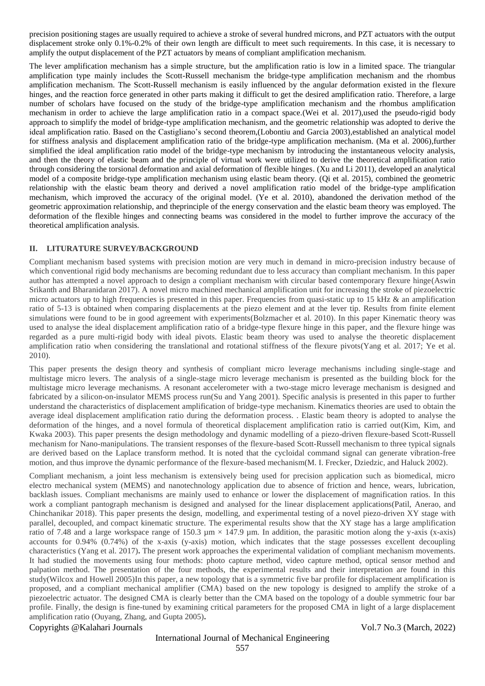precision positioning stages are usually required to achieve a stroke of several hundred microns, and PZT actuators with the output displacement stroke only 0.1%-0.2% of their own length are difficult to meet such requirements. In this case, it is necessary to amplify the output displacement of the PZT actuators by means of compliant amplification mechanism.

The lever amplification mechanism has a simple structure, but the amplification ratio is low in a limited space. The triangular amplification type mainly includes the Scott-Russell mechanism the bridge-type amplification mechanism and the rhombus amplification mechanism. The Scott-Russell mechanism is easily influenced by the angular deformation existed in the flexure hinges, and the reaction force generated in other parts making it difficult to get the desired amplification ratio. Therefore, a large number of scholars have focused on the study of the bridge-type amplification mechanism and the rhombus amplification mechanism in order to achieve the large amplification ratio in a compact space.(Wei et al. 2017),used the pseudo-rigid body approach to simplify the model of bridge-type amplification mechanism, and the geometric relationship was adopted to derive the ideal amplification ratio. Based on the Castigliano's second theorem,(Lobontiu and Garcia 2003),established an analytical model for stiffness analysis and displacement amplification ratio of the bridge-type amplification mechanism. (Ma et al. 2006),further simplified the ideal amplification ratio model of the bridge-type mechanism by introducing the instantaneous velocity analysis, and then the theory of elastic beam and the principle of virtual work were utilized to derive the theoretical amplification ratio through considering the torsional deformation and axial deformation of flexible hinges. (Xu and Li 2011), developed an analytical model of a composite bridge-type amplification mechanism using elastic beam theory. (Qi et al. 2015), combined the geometric relationship with the elastic beam theory and derived a novel amplification ratio model of the bridge-type amplification mechanism, which improved the accuracy of the original model. (Ye et al. 2010), abandoned the derivation method of the geometric approximation relationship, and theprinciple of the energy conservation and the elastic beam theory was employed. The deformation of the flexible hinges and connecting beams was considered in the model to further improve the accuracy of the theoretical amplification analysis.

### **II. LITURATURE SURVEY/BACKGROUND**

Compliant mechanism based systems with precision motion are very much in demand in micro-precision industry because of which conventional rigid body mechanisms are becoming redundant due to less accuracy than compliant mechanism. In this paper author has attempted a novel approach to design a compliant mechanism with circular based contemporary flexure hinge(Aswin Srikanth and Bharanidaran 2017). A novel micro machined mechanical amplification unit for increasing the stroke of piezoelectric micro actuators up to high frequencies is presented in this paper. Frequencies from quasi-static up to 15 kHz & an amplification ratio of 5-13 is obtained when comparing displacements at the piezo element and at the lever tip. Results from finite element simulations were found to be in good agreement with experiments(Bolzmacher et al. 2010). In this paper Kinematic theory was used to analyse the ideal displacement amplification ratio of a bridge-type flexure hinge in this paper, and the flexure hinge was regarded as a pure multi-rigid body with ideal pivots. Elastic beam theory was used to analyse the theoretic displacement amplification ratio when considering the translational and rotational stiffness of the flexure pivots(Yang et al. 2017; Ye et al. 2010).

This paper presents the design theory and synthesis of compliant micro leverage mechanisms including single-stage and multistage micro levers. The analysis of a single-stage micro leverage mechanism is presented as the building block for the multistage micro leverage mechanisms. A resonant accelerometer with a two-stage micro leverage mechanism is designed and fabricated by a silicon-on-insulator MEMS process run(Su and Yang 2001). Specific analysis is presented in this paper to further understand the characteristics of displacement amplification of bridge-type mechanism. Kinematics theories are used to obtain the average ideal displacement amplification ratio during the deformation process. . Elastic beam theory is adopted to analyse the deformation of the hinges, and a novel formula of theoretical displacement amplification ratio is carried out(Kim, Kim, and Kwaka 2003). This paper presents the design methodology and dynamic modelling of a piezo-driven flexure-based Scott-Russell mechanism for Nano-manipulations. The transient responses of the flexure-based Scott-Russell mechanism to three typical signals are derived based on the Laplace transform method. It is noted that the cycloidal command signal can generate vibration-free motion, and thus improve the dynamic performance of the flexure-based mechanism(M. I. Frecker, Dziedzic, and Haluck 2002).

Compliant mechanism, a joint less mechanism is extensively being used for precision application such as biomedical, micro electro mechanical system (MEMS) and nanotechnology application due to absence of friction and hence, wears, lubrication, backlash issues. Compliant mechanisms are mainly used to enhance or lower the displacement of magnification ratios. In this work a compliant pantograph mechanism is designed and analysed for the linear displacement applications(Patil, Anerao, and Chinchanikar 2018). This paper presents the design, modelling, and experimental testing of a novel piezo-driven XY stage with parallel, decoupled, and compact kinematic structure. The experimental results show that the XY stage has a large amplification ratio of 7.48 and a large workspace range of 150.3  $\mu$ m  $\times$  147.9  $\mu$ m. In addition, the parasitic motion along the y-axis (x-axis) accounts for 0.94% (0.74%) of the x-axis (y-axis) motion, which indicates that the stage possesses excellent decoupling characteristics (Yang et al. 2017)**.** The present work approaches the experimental validation of compliant mechanism movements. It had studied the movements using four methods: photo capture method, video capture method, optical sensor method and palpation method. The presentation of the four methods, the experimental results and their interpretation are found in this study(Wilcox and Howell 2005)In this paper, a new topology that is a symmetric five bar profile for displacement amplification is proposed, and a compliant mechanical amplifier (CMA) based on the new topology is designed to amplify the stroke of a piezoelectric actuator. The designed CMA is clearly better than the CMA based on the topology of a double symmetric four bar profile. Finally, the design is fine-tuned by examining critical parameters for the proposed CMA in light of a large displacement amplification ratio (Ouyang, Zhang, and Gupta 2005)**.**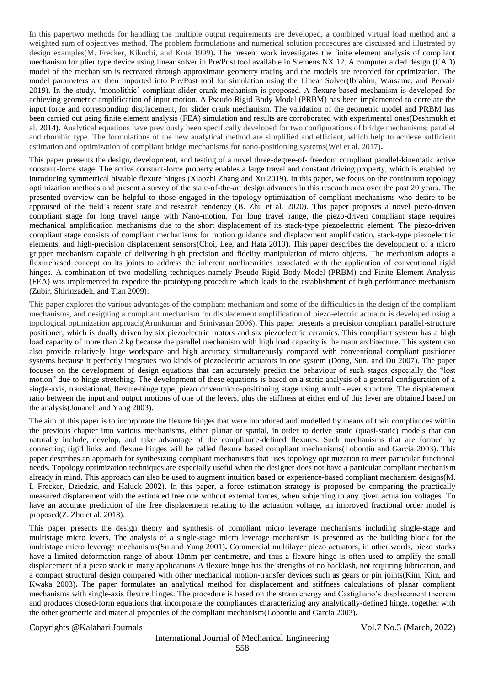In this papertwo methods for handling the multiple output requirements are developed, a combined virtual load method and a weighted sum of objectives method. The problem formulations and numerical solution procedures are discussed and illustrated by design examples(M. Frecker, Kikuchi, and Kota 1999)**.** The present work investigates the finite element analysis of compliant mechanism for plier type device using linear solver in Pre/Post tool available in Siemens NX 12. A computer aided design (CAD) model of the mechanism is recreated through approximate geometry tracing and the models are recorded for optimization. The model parameters are then imported into Pre/Post tool for simulation using the Linear Solver(Ibrahim, Warsame, and Pervaiz 2019). In the study, 'monolithic' compliant slider crank mechanism is proposed. A flexure based mechanism is developed for achieving geometric amplification of input motion. A Pseudo Rigid Body Model (PRBM) has been implemented to correlate the input force and corresponding displacement, for slider crank mechanism. The validation of the geometric model and PRBM has been carried out using finite element analysis (FEA) simulation and results are corroborated with experimental ones(Deshmukh et al. 2014). Analytical equations have previously been specifically developed for two configurations of bridge mechanisms: parallel and rhombic type. The formulations of the new analytical method are simplified and efficient, which help to achieve sufficient estimation and optimization of compliant bridge mechanisms for nano-positioning systems(Wei et al. 2017)**.**

This paper presents the design, development, and testing of a novel three-degree-of- freedom compliant parallel-kinematic active constant-force stage. The active constant-force property enables a large travel and constant driving property, which is enabled by introducing symmetrical bistable flexure hinges (Xiaozhi Zhang and Xu 2019). In this paper, we focus on the continuum topology optimization methods and present a survey of the state-of-the-art design advances in this research area over the past 20 years. The presented overview can be helpful to those engaged in the topology optimization of compliant mechanisms who desire to be appraised of the field's recent state and research tendency (B. Zhu et al. 2020). This paper proposes a novel piezo-driven compliant stage for long travel range with Nano-motion. For long travel range, the piezo-driven compliant stage requires mechanical amplification mechanisms due to the short displacement of its stack-type piezoelectric element. The piezo-driven compliant stage consists of compliant mechanisms for motion guidance and displacement amplification, stack-type piezoelectric elements, and high-precision displacement sensors(Choi, Lee, and Hata 2010). This paper describes the development of a micro gripper mechanism capable of delivering high precision and fidelity manipulation of micro objects. The mechanism adopts a flexurebased concept on its joints to address the inherent nonlinearities associated with the application of conventional rigid hinges. A combination of two modelling techniques namely Pseudo Rigid Body Model (PRBM) and Finite Element Analysis (FEA) was implemented to expedite the prototyping procedure which leads to the establishment of high performance mechanism (Zubir, Shirinzadeh, and Tian 2009).

This paper explores the various advantages of the compliant mechanism and some of the difficulties in the design of the compliant mechanisms, and designing a compliant mechanism for displacement amplification of piezo-electric actuator is developed using a topological optimization approach(Arunkumar and Srinivasan 2006)**.** This paper presents a precision compliant parallel-structure positioner, which is dually driven by six piezoelectric motors and six piezoelectric ceramics. This compliant system has a high load capacity of more than 2 kg because the parallel mechanism with high load capacity is the main architecture. This system can also provide relatively large workspace and high accuracy simultaneously compared with conventional compliant positioner systems because it perfectly integrates two kinds of piezoelectric actuators in one system (Dong, Sun, and Du 2007). The paper focuses on the development of design equations that can accurately predict the behaviour of such stages especially the "lost motion" due to hinge stretching. The development of these equations is based on a static analysis of a general configuration of a single-axis, translational, flexure-hinge type, piezo drivenmicro-positioning stage using amulti-lever structure. The displacement ratio between the input and output motions of one of the levers, plus the stiffness at either end of this lever are obtained based on the analysis(Jouaneh and Yang 2003).

The aim of this paper is to incorporate the flexure hinges that were introduced and modelled by means of their compliances within the previous chapter into various mechanisms, either planar or spatial, in order to derive static (quasi-static) models that can naturally include, develop, and take advantage of the compliance-defined flexures. Such mechanisms that are formed by connecting rigid links and flexure hinges will be called flexure based compliant mechanisms(Lobontiu and Garcia 2003)**.** This paper describes an approach for synthesizing compliant mechanisms that uses topology optimization to meet particular functional needs. Topology optimization techniques are especially useful when the designer does not have a particular compliant mechanism already in mind. This approach can also be used to augment intuition based or experience-based compliant mechanism designs(M. I. Frecker, Dziedzic, and Haluck 2002)**.** In this paper, a force estimation strategy is proposed by comparing the practically measured displacement with the estimated free one without external forces, when subjecting to any given actuation voltages. To have an accurate prediction of the free displacement relating to the actuation voltage, an improved fractional order model is proposed(Z. Zhu et al. 2018).

This paper presents the design theory and synthesis of compliant micro leverage mechanisms including single-stage and multistage micro levers. The analysis of a single-stage micro leverage mechanism is presented as the building block for the multistage micro leverage mechanisms(Su and Yang 2001)**.** Commercial multilayer piezo actuators, in other words, piezo stacks have a limited deformation range of about 10mm per centimetre, and thus a flexure hinge is often used to amplify the small displacement of a piezo stack in many applications A flexure hinge has the strengths of no backlash, not requiring lubrication, and a compact structural design compared with other mechanical motion-transfer devices such as gears or pin joints(Kim, Kim, and Kwaka 2003)**.** The paper formulates an analytical method for displacement and stiffness calculations of planar compliant mechanisms with single-axis flexure hinges. The procedure is based on the strain energy and Castigliano's displacement theorem and produces closed-form equations that incorporate the compliances characterizing any analytically-defined hinge, together with the other geometric and material properties of the compliant mechanism(Lobontiu and Garcia 2003)**.**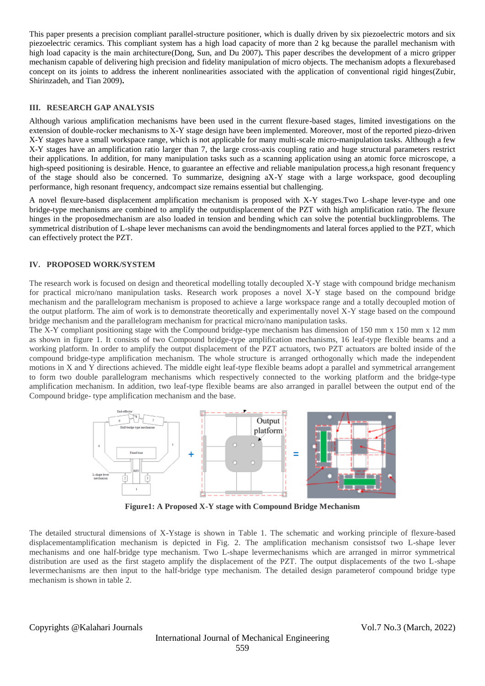This paper presents a precision compliant parallel-structure positioner, which is dually driven by six piezoelectric motors and six piezoelectric ceramics. This compliant system has a high load capacity of more than 2 kg because the parallel mechanism with high load capacity is the main architecture(Dong, Sun, and Du 2007)**.** This paper describes the development of a micro gripper mechanism capable of delivering high precision and fidelity manipulation of micro objects. The mechanism adopts a flexurebased concept on its joints to address the inherent nonlinearities associated with the application of conventional rigid hinges(Zubir, Shirinzadeh, and Tian 2009)**.**

#### **III. RESEARCH GAP ANALYSIS**

Although various amplification mechanisms have been used in the current flexure-based stages, limited investigations on the extension of double-rocker mechanisms to X-Y stage design have been implemented. Moreover, most of the reported piezo-driven X-Y stages have a small workspace range, which is not applicable for many multi-scale micro-manipulation tasks. Although a few X-Y stages have an amplification ratio larger than 7, the large cross-axis coupling ratio and huge structural parameters restrict their applications. In addition, for many manipulation tasks such as a scanning application using an atomic force microscope, a high-speed positioning is desirable. Hence, to guarantee an effective and reliable manipulation process, a high resonant frequency of the stage should also be concerned. To summarize, designing aX-Y stage with a large workspace, good decoupling performance, high resonant frequency, andcompact size remains essential but challenging.

A novel flexure-based displacement amplification mechanism is proposed with X-Y stages.Two L-shape lever-type and one bridge-type mechanisms are combined to amplify the outputdisplacement of the PZT with high amplification ratio. The flexure hinges in the proposedmechanism are also loaded in tension and bending which can solve the potential bucklingproblems. The symmetrical distribution of L-shape lever mechanisms can avoid the bendingmoments and lateral forces applied to the PZT, which can effectively protect the PZT.

#### **IV. PROPOSED WORK/SYSTEM**

The research work is focused on design and theoretical modelling totally decoupled X-Y stage with compound bridge mechanism for practical micro/nano manipulation tasks. Research work proposes a novel X-Y stage based on the compound bridge mechanism and the parallelogram mechanism is proposed to achieve a large workspace range and a totally decoupled motion of the output platform. The aim of work is to demonstrate theoretically and experimentally novel X-Y stage based on the compound bridge mechanism and the parallelogram mechanism for practical micro/nano manipulation tasks.

The X-Y compliant positioning stage with the Compound bridge-type mechanism has dimension of 150 mm x 150 mm x 12 mm as shown in figure 1. It consists of two Compound bridge-type amplification mechanisms, 16 leaf-type flexible beams and a working platform. In order to amplify the output displacement of the PZT actuators, two PZT actuators are bolted inside of the compound bridge-type amplification mechanism. The whole structure is arranged orthogonally which made the independent motions in X and Y directions achieved. The middle eight leaf-type flexible beams adopt a parallel and symmetrical arrangement to form two double parallelogram mechanisms which respectively connected to the working platform and the bridge-type amplification mechanism. In addition, two leaf-type flexible beams are also arranged in parallel between the output end of the Compound bridge- type amplification mechanism and the base.



**Figure1: A Proposed X-Y stage with Compound Bridge Mechanism**

The detailed structural dimensions of X-Ystage is shown in Table 1. The schematic and working principle of flexure-based displacementamplification mechanism is depicted in Fig. 2. The amplification mechanism consistsof two L-shape lever mechanisms and one half-bridge type mechanism. Two L-shape levermechanisms which are arranged in mirror symmetrical distribution are used as the first stageto amplify the displacement of the PZT. The output displacements of the two L-shape levermechanisms are then input to the half-bridge type mechanism. The detailed design parameterof compound bridge type mechanism is shown in table 2.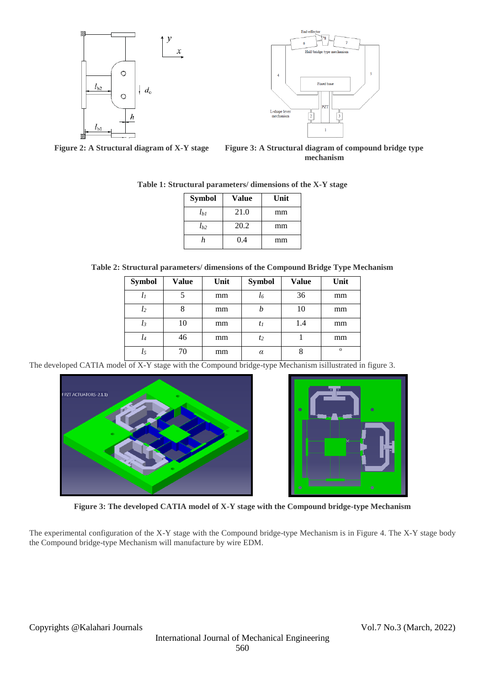

 $\boldsymbol{x}$ 



**Figure 2: A Structural diagram of X-Y stage Figure 3: A Structural diagram of compound bridge type mechanism**

| <b>Symbol</b> | <b>Value</b> | Unit |  |
|---------------|--------------|------|--|
| $l_{bl}$      | 21.0         | mm   |  |
| $l_{h2}$      | 20.2         | mm   |  |
| h.            | 0.4          | mm   |  |

**Table 1: Structural parameters/ dimensions of the X-Y stage**

**Table 2: Structural parameters/ dimensions of the Compound Bridge Type Mechanism**

| <b>Symbol</b> | Value | Unit | <b>Symbol</b>  | <b>Value</b> | Unit     |
|---------------|-------|------|----------------|--------------|----------|
| $\iota_I$     |       | mm   | l6             | 36           | mm       |
| $l_2$         | 8     | mm   |                | 10           | mm       |
| $l_3$         | 10    | mm   | $t_I$          | 1.4          | mm       |
| $l_4$         | 46    | mm   | t <sub>2</sub> |              | mm       |
| l5            | 70    | mm   | $\alpha$       |              | $\Omega$ |

The developed CATIA model of X-Y stage with the Compound bridge-type Mechanism isillustrated in figure 3.





**Figure 3: The developed CATIA model of X-Y stage with the Compound bridge-type Mechanism**

The experimental configuration of the X-Y stage with the Compound bridge-type Mechanism is in Figure 4. The X-Y stage body the Compound bridge-type Mechanism will manufacture by wire EDM.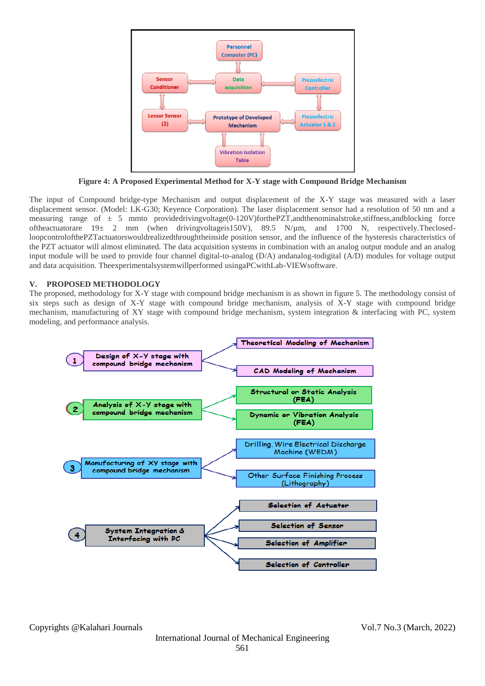

**Figure 4: A Proposed Experimental Method for X-Y stage with Compound Bridge Mechanism**

The input of Compound bridge-type Mechanism and output displacement of the X-Y stage was measured with a laser displacement sensor. (Model: LK-G30; Keyence Corporation). The laser displacement sensor had a resolution of 50 nm and a measuring range of  $\pm$  5 mmto providedrivingvoltage(0-120V)forthePZT, and the nominal stroke, stiffness, and blocking force oftheactuatorare 19± 2 mm (when drivingvoltageis150V), 89.5 N/µm, and 1700 N, respectively.TheclosedloopcontrolofthePZTactuatorswouldrealizedthroughtheinside position sensor, and the influence of the hysteresis characteristics of the PZT actuator will almost eliminated. The data acquisition systems in combination with an analog output module and an analog input module will be used to provide four channel digital-to-analog (D/A) andanalog-todigital (A/D) modules for voltage output and data acquisition. Theexperimentalsystemwillperformed usingaPCwithLab-VIEWsoftware.

#### **V. PROPOSED METHODOLOGY**

The proposed, methodology for X-Y stage with compound bridge mechanism is as shown in figure 5. The methodology consist of six steps such as design of X-Y stage with compound bridge mechanism, analysis of X-Y stage with compound bridge mechanism, manufacturing of XY stage with compound bridge mechanism, system integration & interfacing with PC, system modeling, and performance analysis.

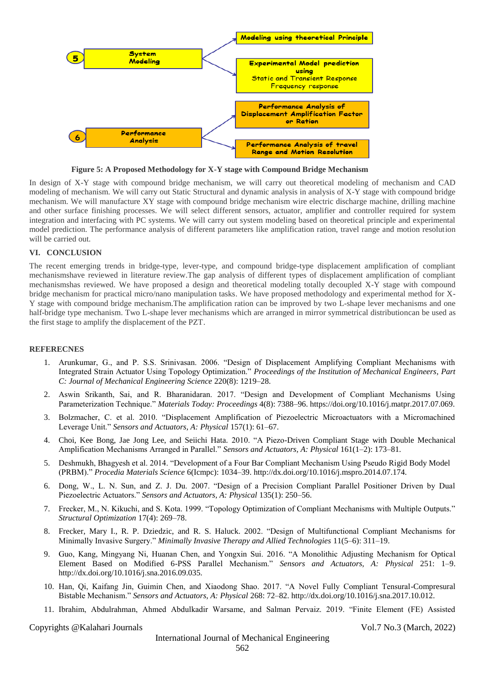

**Figure 5: A Proposed Methodology for X-Y stage with Compound Bridge Mechanism**

In design of X-Y stage with compound bridge mechanism, we will carry out theoretical modeling of mechanism and CAD modeling of mechanism. We will carry out Static Structural and dynamic analysis in analysis of X-Y stage with compound bridge mechanism. We will manufacture XY stage with compound bridge mechanism wire electric discharge machine, drilling machine and other surface finishing processes. We will select different sensors, actuator, amplifier and controller required for system integration and interfacing with PC systems. We will carry out system modeling based on theoretical principle and experimental model prediction. The performance analysis of different parameters like amplification ration, travel range and motion resolution will be carried out.

### **VI. CONCLUSION**

The recent emerging trends in bridge-type, lever-type, and compound bridge-type displacement amplification of compliant mechanismshave reviewed in literature review.The gap analysis of different types of displacement amplification of compliant mechanismshas reviewed. We have proposed a design and theoretical modeling totally decoupled X-Y stage with compound bridge mechanism for practical micro/nano manipulation tasks. We have proposed methodology and experimental method for X-Y stage with compound bridge mechanism.The amplification ration can be improved by two L-shape lever mechanisms and one half-bridge type mechanism. Two L-shape lever mechanisms which are arranged in mirror symmetrical distributioncan be used as the first stage to amplify the displacement of the PZT.

### **REFERECNES**

- 1. Arunkumar, G., and P. S.S. Srinivasan. 2006. "Design of Displacement Amplifying Compliant Mechanisms with Integrated Strain Actuator Using Topology Optimization." *Proceedings of the Institution of Mechanical Engineers, Part C: Journal of Mechanical Engineering Science* 220(8): 1219–28.
- 2. Aswin Srikanth, Sai, and R. Bharanidaran. 2017. "Design and Development of Compliant Mechanisms Using Parameterization Technique." *Materials Today: Proceedings* 4(8): 7388–96. https://doi.org/10.1016/j.matpr.2017.07.069.
- 3. Bolzmacher, C. et al. 2010. "Displacement Amplification of Piezoelectric Microactuators with a Micromachined Leverage Unit." *Sensors and Actuators, A: Physical* 157(1): 61–67.
- 4. Choi, Kee Bong, Jae Jong Lee, and Seiichi Hata. 2010. "A Piezo-Driven Compliant Stage with Double Mechanical Amplification Mechanisms Arranged in Parallel." *Sensors and Actuators, A: Physical* 161(1–2): 173–81.
- 5. Deshmukh, Bhagyesh et al. 2014. "Development of a Four Bar Compliant Mechanism Using Pseudo Rigid Body Model (PRBM)." *Procedia Materials Science* 6(Icmpc): 1034–39. http://dx.doi.org/10.1016/j.mspro.2014.07.174.
- 6. Dong, W., L. N. Sun, and Z. J. Du. 2007. "Design of a Precision Compliant Parallel Positioner Driven by Dual Piezoelectric Actuators." *Sensors and Actuators, A: Physical* 135(1): 250–56.
- 7. Frecker, M., N. Kikuchi, and S. Kota. 1999. "Topology Optimization of Compliant Mechanisms with Multiple Outputs." *Structural Optimization* 17(4): 269–78.
- 8. Frecker, Mary I., R. P. Dziedzic, and R. S. Haluck. 2002. "Design of Multifunctional Compliant Mechanisms for Minimally Invasive Surgery." *Minimally Invasive Therapy and Allied Technologies* 11(5–6): 311–19.
- 9. Guo, Kang, Mingyang Ni, Huanan Chen, and Yongxin Sui. 2016. "A Monolithic Adjusting Mechanism for Optical Element Based on Modified 6-PSS Parallel Mechanism." *Sensors and Actuators, A: Physical* 251: 1–9. http://dx.doi.org/10.1016/j.sna.2016.09.035.
- 10. Han, Qi, Kaifang Jin, Guimin Chen, and Xiaodong Shao. 2017. "A Novel Fully Compliant Tensural-Compresural Bistable Mechanism." *Sensors and Actuators, A: Physical* 268: 72–82. http://dx.doi.org/10.1016/j.sna.2017.10.012.
- 11. Ibrahim, Abdulrahman, Ahmed Abdulkadir Warsame, and Salman Pervaiz. 2019. "Finite Element (FE) Assisted